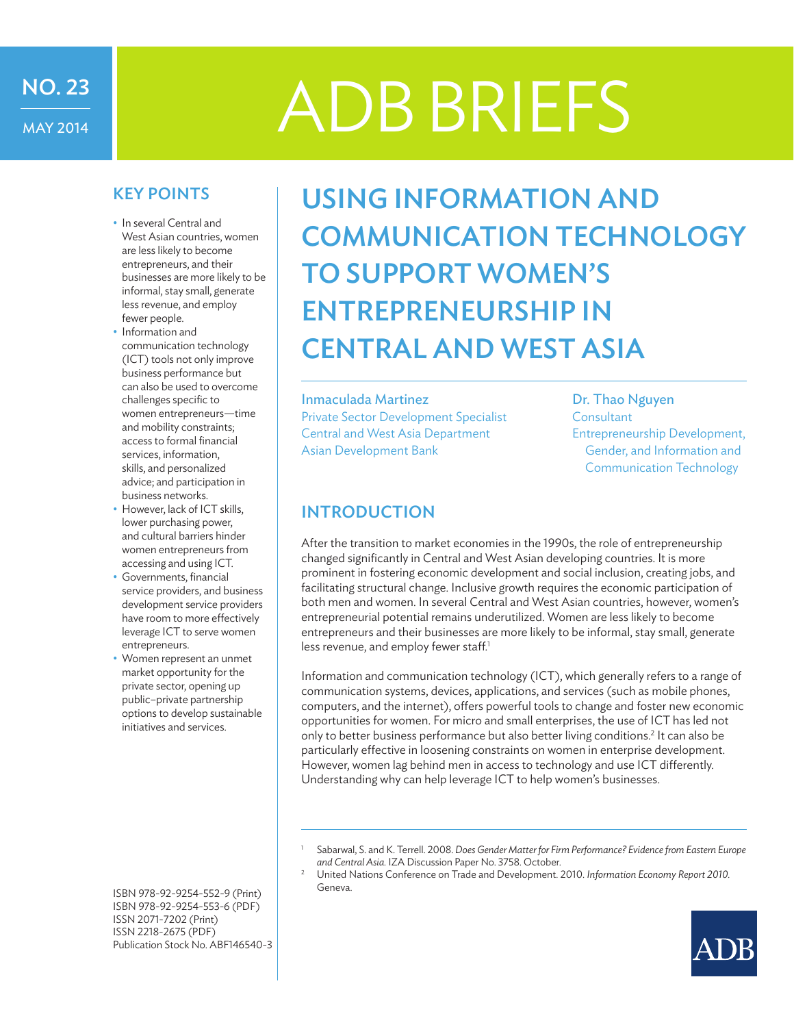# ADB BRIEFS

## KEY POINTS

NO. 23

MAY 2014

- In several Central and West Asian countries, women are less likely to become entrepreneurs, and their businesses are more likely to be informal, stay small, generate less revenue, and employ fewer people.
- Information and communication technology (ICT) tools not only improve business performance but can also be used to overcome challenges specific to women entrepreneurs—time and mobility constraints; access to formal financial services, information, skills, and personalized advice; and participation in business networks.
- However, lack of ICT skills, lower purchasing power, and cultural barriers hinder women entrepreneurs from accessing and using ICT.
- Governments, financial service providers, and business development service providers have room to more effectively leverage ICT to serve women entrepreneurs.
- Women represent an unmet market opportunity for the private sector, opening up public–private partnership options to develop sustainable initiatives and services.

Using Information and Communication Technology to Support Women's Entrepreneurship in **CENTRAL AND WEST ASIA** 

#### Inmaculada Martinez **Dr. Thao Nguyen**

Private Sector Development Specialist Consultant Central and West Asia Department Entrepreneurship Development, Asian Development Bank **Exercise 2018** Gender, and Information and

Communication Technology

## INTRODUCTION

After the transition to market economies in the 1990s, the role of entrepreneurship changed significantly in Central and West Asian developing countries. It is more prominent in fostering economic development and social inclusion, creating jobs, and facilitating structural change. Inclusive growth requires the economic participation of both men and women. In several Central and West Asian countries, however, women's entrepreneurial potential remains underutilized. Women are less likely to become entrepreneurs and their businesses are more likely to be informal, stay small, generate less revenue, and employ fewer staff.<sup>1</sup>

Information and communication technology (ICT), which generally refers to a range of communication systems, devices, applications, and services (such as mobile phones, computers, and the internet), offers powerful tools to change and foster new economic opportunities for women. For micro and small enterprises, the use of ICT has led not only to better business performance but also better living conditions.<sup>2</sup> It can also be particularly effective in loosening constraints on women in enterprise development. However, women lag behind men in access to technology and use ICT differently. Understanding why can help leverage ICT to help women's businesses.

Geneva.



ISBN 978-92-9254-552-9 (Print) ISBN 978-92-9254-553-6 (PDF) ISSN 2071-7202 (Print) ISSN 2218-2675 (PDF) Publication Stock No. ABF146540-3

<sup>1</sup> Sabarwal, S. and K. Terrell. 2008. *Does Gender Matter for Firm Performance? Evidence from Eastern Europe and Central Asia.* IZA Discussion Paper No. 3758. October. 2 United Nations Conference on Trade and Development. 2010. *Information Economy Report 2010.*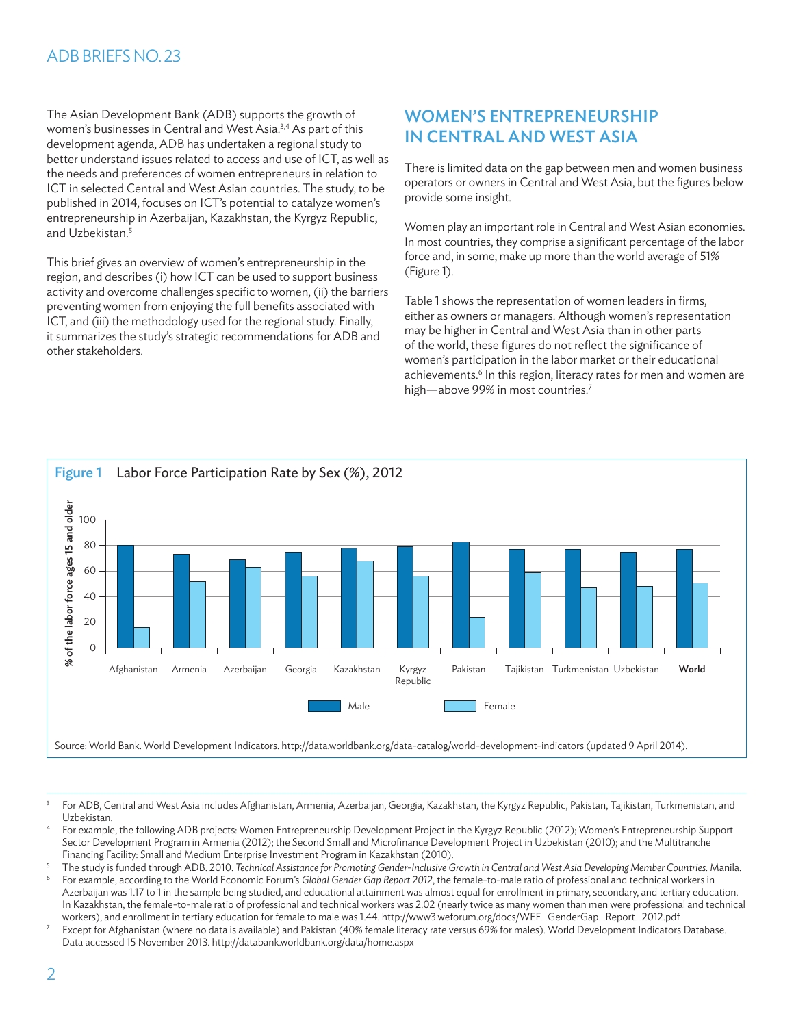The Asian Development Bank (ADB) supports the growth of women's businesses in Central and West Asia.<sup>3,4</sup> As part of this development agenda, ADB has undertaken a regional study to better understand issues related to access and use of ICT, as well as the needs and preferences of women entrepreneurs in relation to ICT in selected Central and West Asian countries. The study, to be published in 2014, focuses on ICT's potential to catalyze women's entrepreneurship in Azerbaijan, Kazakhstan, the Kyrgyz Republic, and Uzbekistan.5

This brief gives an overview of women's entrepreneurship in the region, and describes (i) how ICT can be used to support business activity and overcome challenges specific to women, (ii) the barriers preventing women from enjoying the full benefits associated with ICT, and (iii) the methodology used for the regional study. Finally, it summarizes the study's strategic recommendations for ADB and other stakeholders.

# Women's Entrepreneurship in Central and West Asia

There is limited data on the gap between men and women business operators or owners in Central and West Asia, but the figures below provide some insight.

Women play an important role in Central and West Asian economies. In most countries, they comprise a significant percentage of the labor force and, in some, make up more than the world average of 51% (Figure 1).

Table 1 shows the representation of women leaders in firms, either as owners or managers. Although women's representation may be higher in Central and West Asia than in other parts of the world, these figures do not reflect the significance of women's participation in the labor market or their educational achievements.<sup>6</sup> In this region, literacy rates for men and women are high—above 99% in most countries.<sup>7</sup>



<sup>3</sup> For ADB, Central and West Asia includes Afghanistan, Armenia, Azerbaijan, Georgia, Kazakhstan, the Kyrgyz Republic, Pakistan, Tajikistan, Turkmenistan, and Uzbekistan.

<sup>4</sup> For example, the following ADB projects: Women Entrepreneurship Development Project in the Kyrgyz Republic (2012); Women's Entrepreneurship Support Sector Development Program in Armenia (2012); the Second Small and Microfinance Development Project in Uzbekistan (2010); and the Multitranche Financing Facility: Small and Medium Enterprise Investment Program in Kazakhstan (2010).

<sup>5</sup> The study is funded through ADB. 2010. *Technical Assistance for Promoting Gender-Inclusive Growth in Central and West Asia Developing Member Countries.* Manila.

<sup>6</sup> For example, according to the World Economic Forum's *Global Gender Gap Report 2012*, the female-to-male ratio of professional and technical workers in Azerbaijan was 1.17 to 1 in the sample being studied, and educational attainment was almost equal for enrollment in primary, secondary, and tertiary education. In Kazakhstan, the female-to-male ratio of professional and technical workers was 2.02 (nearly twice as many women than men were professional and technical workers), and enrollment in tertiary education for female to male was 1.44. http://www3.weforum.org/docs/WEF\_GenderGap\_Report\_2012.pdf

<sup>7</sup> Except for Afghanistan (where no data is available) and Pakistan (40% female literacy rate versus 69% for males). World Development Indicators Database. Data accessed 15 November 2013. http://databank.worldbank.org/data/home.aspx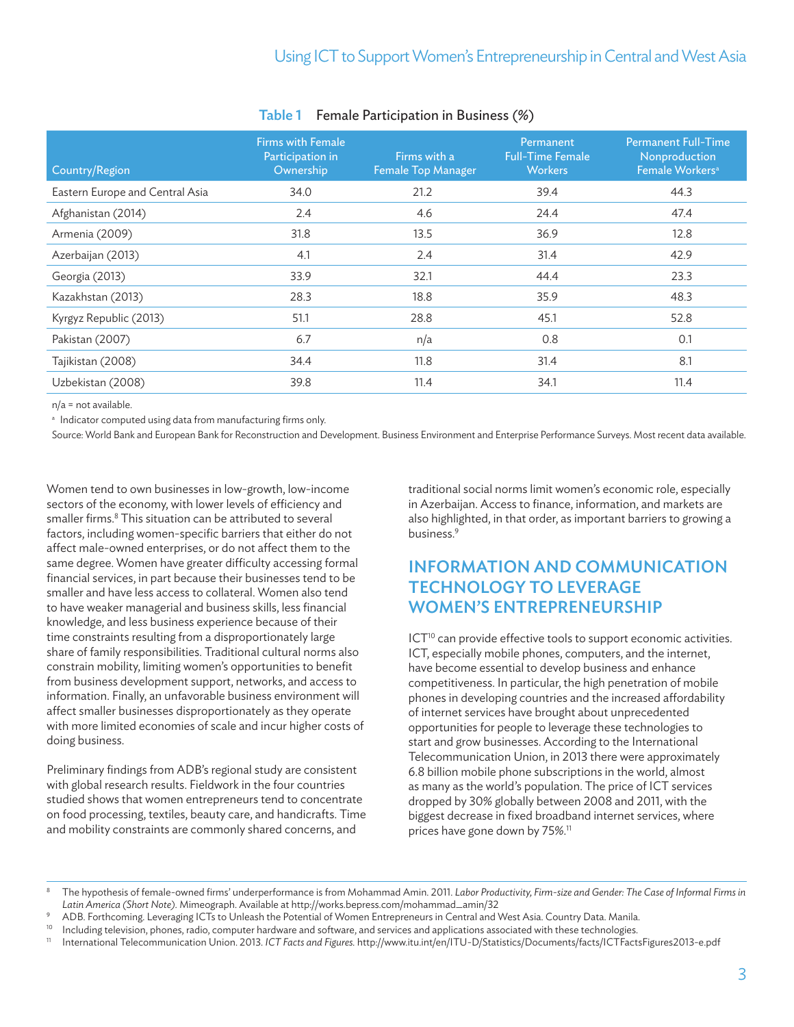| Country/Region                  | <b>Firms with Female</b><br>Participation in<br>Ownership | Firms with a<br><b>Female Top Manager</b> | Permanent<br><b>Full-Time Female</b><br><b>Workers</b> | <b>Permanent Full-Time</b><br>Nonproduction<br>Female Workers <sup>a</sup> |
|---------------------------------|-----------------------------------------------------------|-------------------------------------------|--------------------------------------------------------|----------------------------------------------------------------------------|
| Eastern Europe and Central Asia | 34.0                                                      | 21.2                                      | 39.4                                                   | 44.3                                                                       |
| Afghanistan (2014)              | 2.4                                                       | 4.6                                       | 24.4                                                   | 47.4                                                                       |
| Armenia (2009)                  | 31.8                                                      | 13.5                                      | 36.9                                                   | 12.8                                                                       |
| Azerbaijan (2013)               | 4.1                                                       | 2.4                                       | 31.4                                                   | 42.9                                                                       |
| Georgia (2013)                  | 33.9                                                      | 32.1                                      | 44.4                                                   | 23.3                                                                       |
| Kazakhstan (2013)               | 28.3                                                      | 18.8                                      | 35.9                                                   | 48.3                                                                       |
| Kyrgyz Republic (2013)          | 51.1                                                      | 28.8                                      | 45.1                                                   | 52.8                                                                       |
| Pakistan (2007)                 | 6.7                                                       | n/a                                       | 0.8                                                    | 0.1                                                                        |
| Tajikistan (2008)               | 34.4                                                      | 11.8                                      | 31.4                                                   | 8.1                                                                        |
| Uzbekistan (2008)               | 39.8                                                      | 11.4                                      | 34.1                                                   | 11.4                                                                       |

### Table 1 Female Participation in Business (%)

n/a = not available.

a Indicator computed using data from manufacturing firms only.

Source: World Bank and European Bank for Reconstruction and Development. Business Environment and Enterprise Performance Surveys. Most recent data available.

Women tend to own businesses in low-growth, low-income sectors of the economy, with lower levels of efficiency and smaller firms.<sup>8</sup> This situation can be attributed to several factors, including women-specific barriers that either do not affect male-owned enterprises, or do not affect them to the same degree. Women have greater difficulty accessing formal financial services, in part because their businesses tend to be smaller and have less access to collateral. Women also tend to have weaker managerial and business skills, less financial knowledge, and less business experience because of their time constraints resulting from a disproportionately large share of family responsibilities. Traditional cultural norms also constrain mobility, limiting women's opportunities to benefit from business development support, networks, and access to information. Finally, an unfavorable business environment will affect smaller businesses disproportionately as they operate with more limited economies of scale and incur higher costs of doing business.

Preliminary findings from ADB's regional study are consistent with global research results. Fieldwork in the four countries studied shows that women entrepreneurs tend to concentrate on food processing, textiles, beauty care, and handicrafts. Time and mobility constraints are commonly shared concerns, and

traditional social norms limit women's economic role, especially in Azerbaijan. Access to finance, information, and markets are also highlighted, in that order, as important barriers to growing a business.9

# Information and Communication Technology to Leverage Women's Entrepreneurship

ICT<sup>10</sup> can provide effective tools to support economic activities. ICT, especially mobile phones, computers, and the internet, have become essential to develop business and enhance competitiveness. In particular, the high penetration of mobile phones in developing countries and the increased affordability of internet services have brought about unprecedented opportunities for people to leverage these technologies to start and grow businesses. According to the International Telecommunication Union, in 2013 there were approximately 6.8 billion mobile phone subscriptions in the world, almost as many as the world's population. The price of ICT services dropped by 30% globally between 2008 and 2011, with the biggest decrease in fixed broadband internet services, where prices have gone down by 75%.<sup>11</sup>

<sup>8</sup> The hypothesis of female-owned firms' underperformance is from Mohammad Amin. 2011. *Labor Productivity, Firm-size and Gender: The Case of Informal Firms in Latin America (Short Note).* Mimeograph. Available at http://works.bepress.com/mohammad\_amin/32

<sup>9</sup> ADB. Forthcoming. Leveraging ICTs to Unleash the Potential of Women Entrepreneurs in Central and West Asia. Country Data. Manila.

 $10$  Including television, phones, radio, computer hardware and software, and services and applications associated with these technologies.

<sup>11</sup> International Telecommunication Union. 2013. *ICT Facts and Figures.* http://www.itu.int/en/ITU-D/Statistics/Documents/facts/ICTFactsFigures2013-e.pdf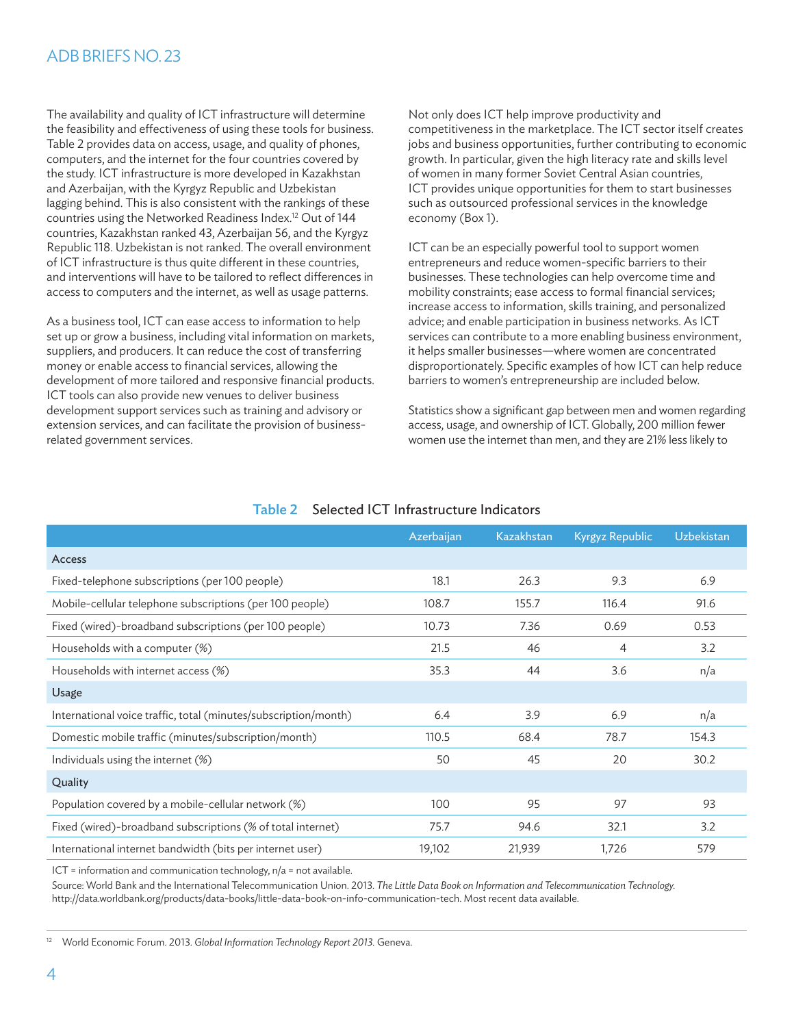The availability and quality of ICT infrastructure will determine the feasibility and effectiveness of using these tools for business. Table 2 provides data on access, usage, and quality of phones, computers, and the internet for the four countries covered by the study. ICT infrastructure is more developed in Kazakhstan and Azerbaijan, with the Kyrgyz Republic and Uzbekistan lagging behind. This is also consistent with the rankings of these countries using the Networked Readiness Index.12 Out of 144 countries, Kazakhstan ranked 43, Azerbaijan 56, and the Kyrgyz Republic 118. Uzbekistan is not ranked. The overall environment of ICT infrastructure is thus quite different in these countries, and interventions will have to be tailored to reflect differences in access to computers and the internet, as well as usage patterns.

As a business tool, ICT can ease access to information to help set up or grow a business, including vital information on markets, suppliers, and producers. It can reduce the cost of transferring money or enable access to financial services, allowing the development of more tailored and responsive financial products. ICT tools can also provide new venues to deliver business development support services such as training and advisory or extension services, and can facilitate the provision of businessrelated government services.

Not only does ICT help improve productivity and competitiveness in the marketplace. The ICT sector itself creates jobs and business opportunities, further contributing to economic growth. In particular, given the high literacy rate and skills level of women in many former Soviet Central Asian countries, ICT provides unique opportunities for them to start businesses such as outsourced professional services in the knowledge economy (Box 1).

ICT can be an especially powerful tool to support women entrepreneurs and reduce women-specific barriers to their businesses. These technologies can help overcome time and mobility constraints; ease access to formal financial services; increase access to information, skills training, and personalized advice; and enable participation in business networks. As ICT services can contribute to a more enabling business environment, it helps smaller businesses—where women are concentrated disproportionately. Specific examples of how ICT can help reduce barriers to women's entrepreneurship are included below.

Statistics show a significant gap between men and women regarding access, usage, and ownership of ICT. Globally, 200 million fewer women use the internet than men, and they are 21% less likely to

|                                                                 | Azerbaijan | Kazakhstan | Kyrgyz Republic | Uzbekistan |
|-----------------------------------------------------------------|------------|------------|-----------------|------------|
| Access                                                          |            |            |                 |            |
| Fixed-telephone subscriptions (per 100 people)                  | 18.1       | 26.3       | 9.3             | 6.9        |
| Mobile-cellular telephone subscriptions (per 100 people)        | 108.7      | 155.7      | 116.4           | 91.6       |
| Fixed (wired)-broadband subscriptions (per 100 people)          | 10.73      | 7.36       | 0.69            | 0.53       |
| Households with a computer (%)                                  | 21.5       | 46         | 4               | 3.2        |
| Households with internet access (%)                             | 35.3       | 44         | 3.6             | n/a        |
| Usage                                                           |            |            |                 |            |
| International voice traffic, total (minutes/subscription/month) | 6.4        | 3.9        | 6.9             | n/a        |
| Domestic mobile traffic (minutes/subscription/month)            | 110.5      | 68.4       | 78.7            | 154.3      |
| Individuals using the internet (%)                              | 50         | 45         | 20              | 30.2       |
| Quality                                                         |            |            |                 |            |
| Population covered by a mobile-cellular network (%)             | 100        | 95         | 97              | 93         |
| Fixed (wired)-broadband subscriptions (% of total internet)     | 75.7       | 94.6       | 32.1            | 3.2        |
| International internet bandwidth (bits per internet user)       | 19,102     | 21,939     | 1,726           | 579        |

## Table 2 Selected ICT Infrastructure Indicators

ICT = information and communication technology, n/a = not available.

Source: World Bank and the International Telecommunication Union. 2013. *The Little Data Book on Information and Telecommunication Technology.* http://data.worldbank.org/products/data-books/little-data-book-on-info-communication-tech. Most recent data available.

<sup>12</sup> World Economic Forum. 2013. *Global Information Technology Report 2013.* Geneva.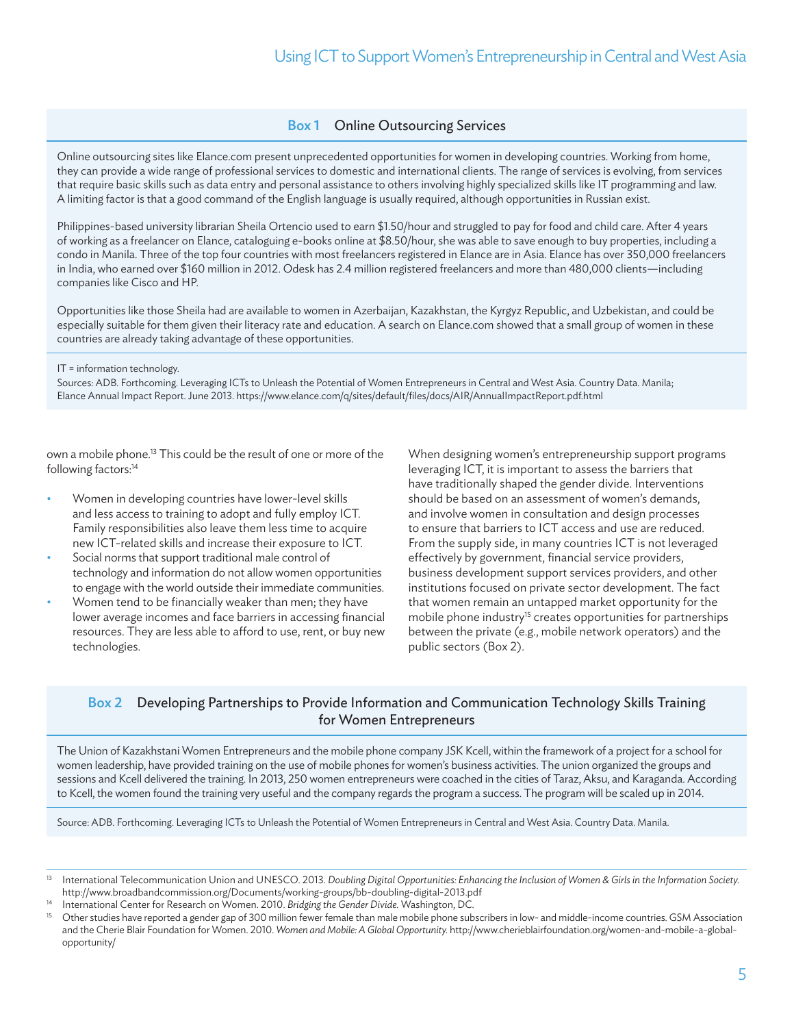## Box 1 Online Outsourcing Services

Online outsourcing sites like Elance.com present unprecedented opportunities for women in developing countries. Working from home, they can provide a wide range of professional services to domestic and international clients. The range of services is evolving, from services that require basic skills such as data entry and personal assistance to others involving highly specialized skills like IT programming and law. A limiting factor is that a good command of the English language is usually required, although opportunities in Russian exist.

Philippines-based university librarian Sheila Ortencio used to earn \$1.50/hour and struggled to pay for food and child care. After 4 years of working as a freelancer on Elance, cataloguing e-books online at \$8.50/hour, she was able to save enough to buy properties, including a condo in Manila. Three of the top four countries with most freelancers registered in Elance are in Asia. Elance has over 350,000 freelancers in India, who earned over \$160 million in 2012. Odesk has 2.4 million registered freelancers and more than 480,000 clients—including companies like Cisco and HP.

Opportunities like those Sheila had are available to women in Azerbaijan, Kazakhstan, the Kyrgyz Republic, and Uzbekistan, and could be especially suitable for them given their literacy rate and education. A search on Elance.com showed that a small group of women in these countries are already taking advantage of these opportunities.

#### IT = information technology.

Sources: ADB. Forthcoming. Leveraging ICTs to Unleash the Potential of Women Entrepreneurs in Central and West Asia. Country Data. Manila; Elance Annual Impact Report. June 2013. https://www.elance.com/q/sites/default/files/docs/AIR/AnnualImpactReport.pdf.html

own a mobile phone.<sup>13</sup> This could be the result of one or more of the following factors:<sup>14</sup>

- Women in developing countries have lower-level skills and less access to training to adopt and fully employ ICT. Family responsibilities also leave them less time to acquire new ICT-related skills and increase their exposure to ICT.
- Social norms that support traditional male control of technology and information do not allow women opportunities to engage with the world outside their immediate communities.
- Women tend to be financially weaker than men; they have lower average incomes and face barriers in accessing financial resources. They are less able to afford to use, rent, or buy new technologies.

When designing women's entrepreneurship support programs leveraging ICT, it is important to assess the barriers that have traditionally shaped the gender divide. Interventions should be based on an assessment of women's demands, and involve women in consultation and design processes to ensure that barriers to ICT access and use are reduced. From the supply side, in many countries ICT is not leveraged effectively by government, financial service providers, business development support services providers, and other institutions focused on private sector development. The fact that women remain an untapped market opportunity for the mobile phone industry<sup>15</sup> creates opportunities for partnerships between the private (e.g., mobile network operators) and the public sectors (Box 2).

## Box 2 Developing Partnerships to Provide Information and Communication Technology Skills Training for Women Entrepreneurs

The Union of Kazakhstani Women Entrepreneurs and the mobile phone company JSK Kcell, within the framework of a project for a school for women leadership, have provided training on the use of mobile phones for women's business activities. The union organized the groups and sessions and Kcell delivered the training. In 2013, 250 women entrepreneurs were coached in the cities of Taraz, Aksu, and Karaganda. According to Kcell, the women found the training very useful and the company regards the program a success. The program will be scaled up in 2014.

Source: ADB. Forthcoming. Leveraging ICTs to Unleash the Potential of Women Entrepreneurs in Central and West Asia. Country Data. Manila.

<sup>&</sup>lt;sup>13</sup> International Telecommunication Union and UNESCO. 2013. Doubling Digital Opportunities: Enhancing the Inclusion of Women & Girls in the Information Society. http://www.broadbandcommission.org/Documents/working-groups/bb-doubling-digital-2013.pdf

<sup>14</sup> International Center for Research on Women. 2010. *Bridging the Gender Divide.* Washington, DC.

<sup>15</sup> Other studies have reported a gender gap of 300 million fewer female than male mobile phone subscribers in low- and middle-income countries. GSM Association and the Cherie Blair Foundation for Women. 2010. *Women and Mobile: A Global Opportunity.* http://www.cherieblairfoundation.org/women-and-mobile-a-globalopportunity/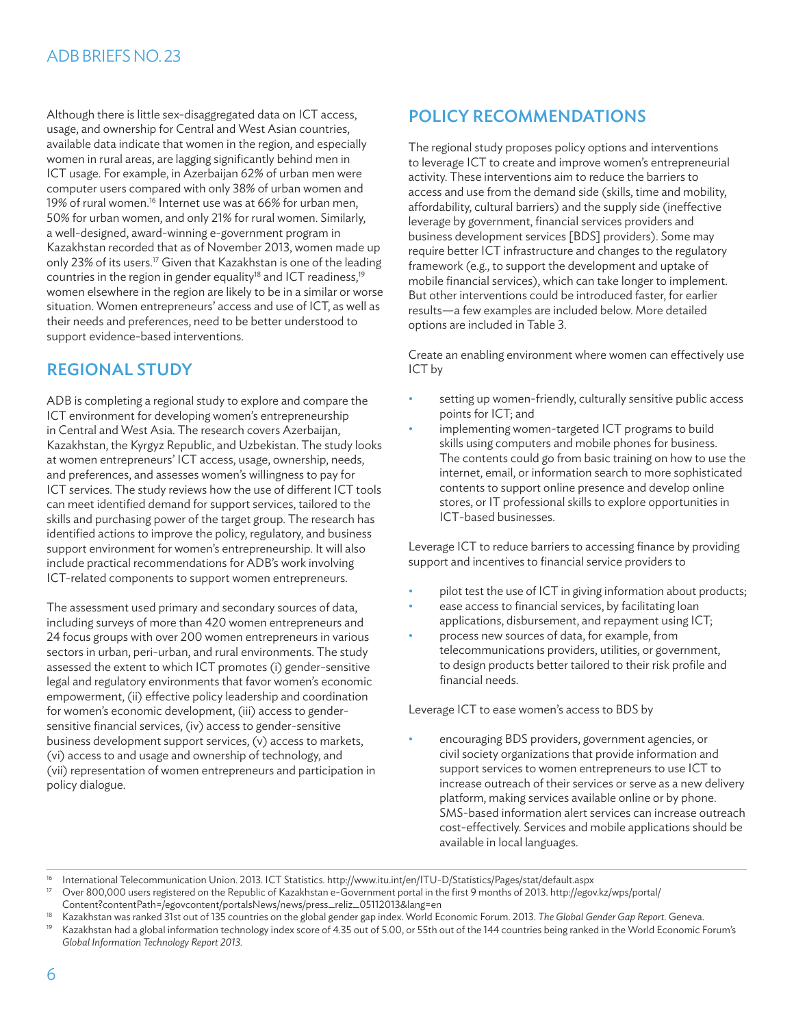Although there is little sex-disaggregated data on ICT access, usage, and ownership for Central and West Asian countries, available data indicate that women in the region, and especially women in rural areas, are lagging significantly behind men in ICT usage. For example, in Azerbaijan 62% of urban men were computer users compared with only 38% of urban women and 19% of rural women.<sup>16</sup> Internet use was at 66% for urban men, 50% for urban women, and only 21% for rural women. Similarly, a well-designed, award-winning e-government program in Kazakhstan recorded that as of November 2013, women made up only 23% of its users.<sup>17</sup> Given that Kazakhstan is one of the leading countries in the region in gender equality<sup>18</sup> and ICT readiness,<sup>19</sup> women elsewhere in the region are likely to be in a similar or worse situation. Women entrepreneurs' access and use of ICT, as well as their needs and preferences, need to be better understood to support evidence-based interventions.

# Regional Study

ADB is completing a regional study to explore and compare the ICT environment for developing women's entrepreneurship in Central and West Asia. The research covers Azerbaijan, Kazakhstan, the Kyrgyz Republic, and Uzbekistan. The study looks at women entrepreneurs' ICT access, usage, ownership, needs, and preferences, and assesses women's willingness to pay for ICT services. The study reviews how the use of different ICT tools can meet identified demand for support services, tailored to the skills and purchasing power of the target group. The research has identified actions to improve the policy, regulatory, and business support environment for women's entrepreneurship. It will also include practical recommendations for ADB's work involving ICT-related components to support women entrepreneurs.

The assessment used primary and secondary sources of data, including surveys of more than 420 women entrepreneurs and 24 focus groups with over 200 women entrepreneurs in various sectors in urban, peri-urban, and rural environments. The study assessed the extent to which ICT promotes (i) gender-sensitive legal and regulatory environments that favor women's economic empowerment, (ii) effective policy leadership and coordination for women's economic development, (iii) access to gendersensitive financial services, (iv) access to gender-sensitive business development support services, (v) access to markets, (vi) access to and usage and ownership of technology, and (vii) representation of women entrepreneurs and participation in policy dialogue.

# Policy Recommendations

The regional study proposes policy options and interventions to leverage ICT to create and improve women's entrepreneurial activity. These interventions aim to reduce the barriers to access and use from the demand side (skills, time and mobility, affordability, cultural barriers) and the supply side (ineffective leverage by government, financial services providers and business development services [BDS] providers). Some may require better ICT infrastructure and changes to the regulatory framework (e.g., to support the development and uptake of mobile financial services), which can take longer to implement. But other interventions could be introduced faster, for earlier results—a few examples are included below. More detailed options are included in Table 3.

Create an enabling environment where women can effectively use ICT by

- setting up women-friendly, culturally sensitive public access points for ICT; and
- implementing women-targeted ICT programs to build skills using computers and mobile phones for business. The contents could go from basic training on how to use the internet, email, or information search to more sophisticated contents to support online presence and develop online stores, or IT professional skills to explore opportunities in ICT-based businesses.

Leverage ICT to reduce barriers to accessing finance by providing support and incentives to financial service providers to

- pilot test the use of ICT in giving information about products;
- ease access to financial services, by facilitating loan applications, disbursement, and repayment using ICT;
- process new sources of data, for example, from telecommunications providers, utilities, or government, to design products better tailored to their risk profile and financial needs.

Leverage ICT to ease women's access to BDS by

encouraging BDS providers, government agencies, or civil society organizations that provide information and support services to women entrepreneurs to use ICT to increase outreach of their services or serve as a new delivery platform, making services available online or by phone. SMS-based information alert services can increase outreach cost-effectively. Services and mobile applications should be available in local languages.

<sup>&</sup>lt;sup>16</sup> International Telecommunication Union. 2013. ICT Statistics. http://www.itu.int/en/ITU-D/Statistics/Pages/stat/default.aspx<br><sup>17</sup> Over 800,000 users registered on the Benublic of Kazakhstan o-Government portal in the

<sup>17</sup> Over 800,000 users registered on the Republic of Kazakhstan e-Government portal in the first 9 months of 2013. http://egov.kz/wps/portal/ Content?contentPath=/egovcontent/portalsNews/news/press\_reliz\_05112013&lang=en

<sup>18</sup> Kazakhstan was ranked 31st out of 135 countries on the global gender gap index. World Economic Forum. 2013. *The Global Gender Gap Report.* Geneva. Kazakhstan had a global information technology index score of 4.35 out of 5.00, or 55th out of the 144 countries being ranked in the World Economic Forum's *Global Information Technology Report 2013.*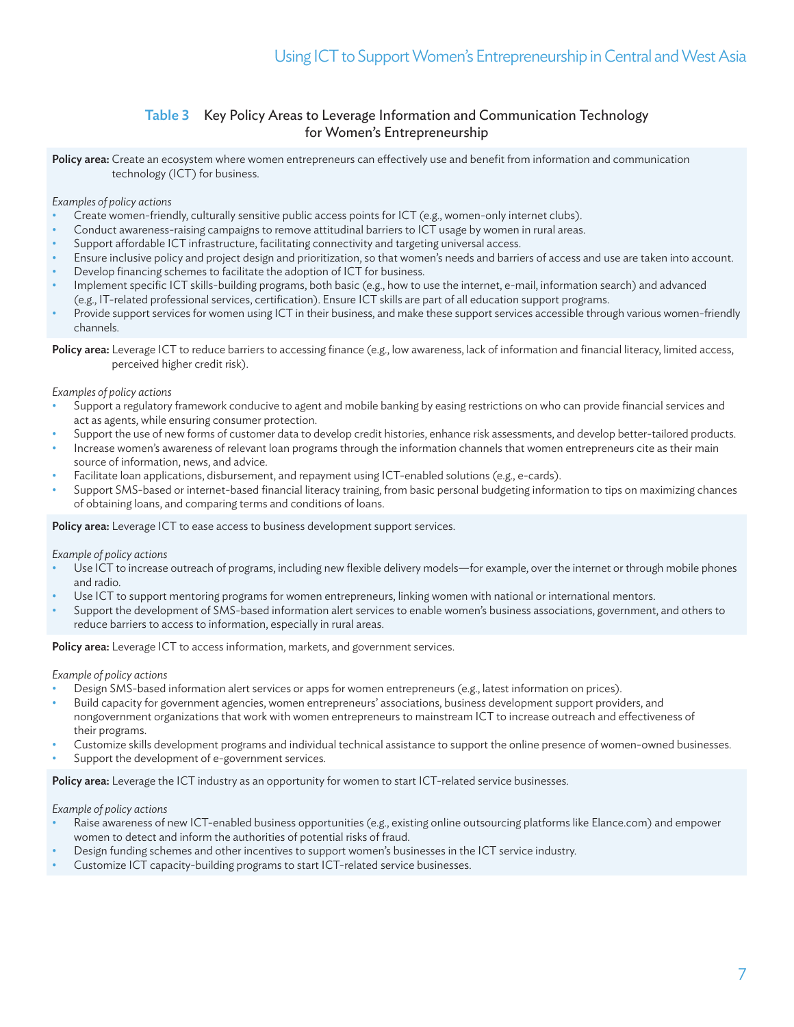## Table 3 Key Policy Areas to Leverage Information and Communication Technology for Women's Entrepreneurship

Policy area: Create an ecosystem where women entrepreneurs can effectively use and benefit from information and communication technology (ICT) for business.

*Examples of policy actions*

- Create women-friendly, culturally sensitive public access points for ICT (e.g., women-only internet clubs).
- Conduct awareness-raising campaigns to remove attitudinal barriers to ICT usage by women in rural areas.
- Support affordable ICT infrastructure, facilitating connectivity and targeting universal access.
- Ensure inclusive policy and project design and prioritization, so that women's needs and barriers of access and use are taken into account.
- Develop financing schemes to facilitate the adoption of ICT for business.
- Implement specific ICT skills-building programs, both basic (e.g., how to use the internet, e-mail, information search) and advanced (e.g., IT-related professional services, certification). Ensure ICT skills are part of all education support programs.
- Provide support services for women using ICT in their business, and make these support services accessible through various women-friendly channels.

Policy area: Leverage ICT to reduce barriers to accessing finance (e.g., low awareness, lack of information and financial literacy, limited access, perceived higher credit risk).

#### *Examples of policy actions*

- Support a regulatory framework conducive to agent and mobile banking by easing restrictions on who can provide financial services and act as agents, while ensuring consumer protection.
- Support the use of new forms of customer data to develop credit histories, enhance risk assessments, and develop better-tailored products.
- Increase women's awareness of relevant loan programs through the information channels that women entrepreneurs cite as their main source of information, news, and advice.
- Facilitate loan applications, disbursement, and repayment using ICT-enabled solutions (e.g., e-cards).
- Support SMS-based or internet-based financial literacy training, from basic personal budgeting information to tips on maximizing chances of obtaining loans, and comparing terms and conditions of loans.

Policy area: Leverage ICT to ease access to business development support services.

*Example of policy actions*

- Use ICT to increase outreach of programs, including new flexible delivery models—for example, over the internet or through mobile phones and radio.
- Use ICT to support mentoring programs for women entrepreneurs, linking women with national or international mentors.
- Support the development of SMS-based information alert services to enable women's business associations, government, and others to reduce barriers to access to information, especially in rural areas.

Policy area: Leverage ICT to access information, markets, and government services.

*Example of policy actions*

- Design SMS-based information alert services or apps for women entrepreneurs (e.g., latest information on prices).
- Build capacity for government agencies, women entrepreneurs' associations, business development support providers, and nongovernment organizations that work with women entrepreneurs to mainstream ICT to increase outreach and effectiveness of their programs.
- Customize skills development programs and individual technical assistance to support the online presence of women-owned businesses.
- Support the development of e-government services.

Policy area: Leverage the ICT industry as an opportunity for women to start ICT-related service businesses.

*Example of policy actions*

- Raise awareness of new ICT-enabled business opportunities (e.g., existing online outsourcing platforms like Elance.com) and empower women to detect and inform the authorities of potential risks of fraud.
- Design funding schemes and other incentives to support women's businesses in the ICT service industry.
- Customize ICT capacity-building programs to start ICT-related service businesses.